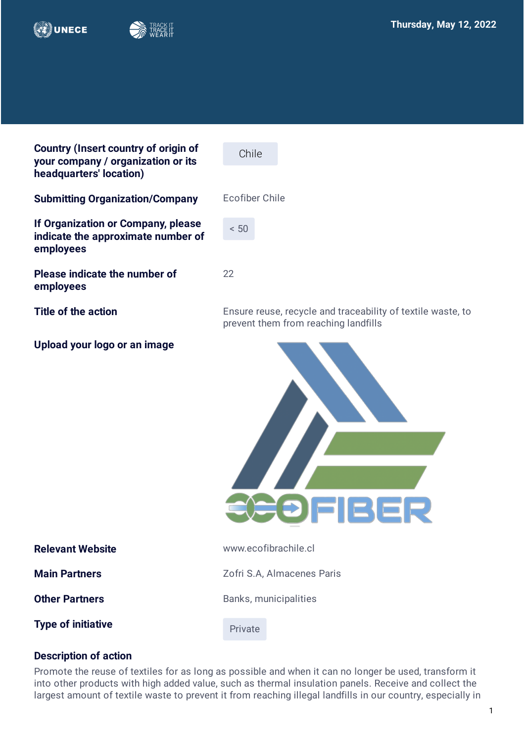



| Country (Insert country of origin of |
|--------------------------------------|
| your company / organization or its   |
| headquarters' location)              |
|                                      |

**Submitting Organization/Company** Ecofiber Chile

**If Organization or Company, please indicate the approximate number of employees**

**Please indicate the number of employees** 

**Upload your logo or an image**

Chile  $< 50$ 22

**Title of the action Ensure reuse, recycle and traceability of textile waste, to** prevent them from reaching landfills



| <b>Relevant Website</b>   | www.ecofibrachile.cl         |
|---------------------------|------------------------------|
| <b>Main Partners</b>      | Zofri S.A, Almacenes Paris   |
| <b>Other Partners</b>     | <b>Banks, municipalities</b> |
| <b>Type of initiative</b> | Private                      |

### **Description of action**

Promote the reuse of textiles for as long as possible and when it can no longer be used, transform it into other products with high added value, such as thermal insulation panels. Receive and collect the largest amount of textile waste to prevent it from reaching illegal landfills in our country, especially in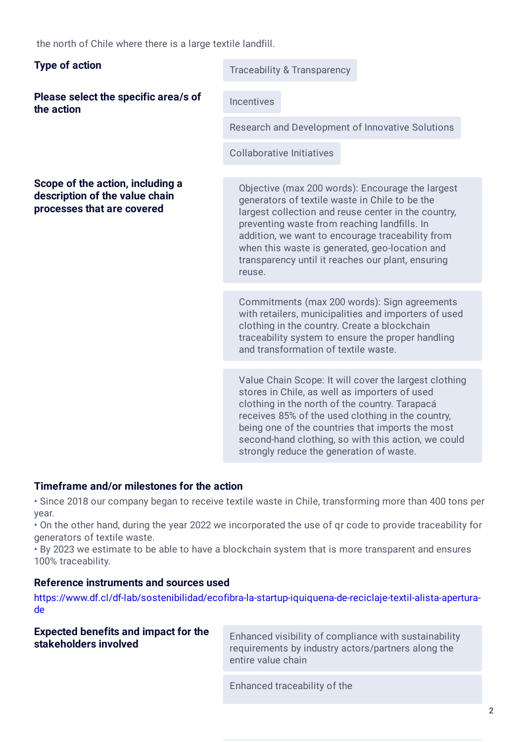the north of Chile where there is a large textile landfill

| the north of onne where there is a large textile familing.                                       |                                                                                                                                                                                                                                                                                                                                                                                |  |  |
|--------------------------------------------------------------------------------------------------|--------------------------------------------------------------------------------------------------------------------------------------------------------------------------------------------------------------------------------------------------------------------------------------------------------------------------------------------------------------------------------|--|--|
| <b>Type of action</b>                                                                            | <b>Traceability &amp; Transparency</b>                                                                                                                                                                                                                                                                                                                                         |  |  |
| Please select the specific area/s of<br>the action                                               | <b>Incentives</b>                                                                                                                                                                                                                                                                                                                                                              |  |  |
|                                                                                                  | Research and Development of Innovative Solutions                                                                                                                                                                                                                                                                                                                               |  |  |
|                                                                                                  | <b>Collaborative Initiatives</b>                                                                                                                                                                                                                                                                                                                                               |  |  |
| Scope of the action, including a<br>description of the value chain<br>processes that are covered | Objective (max 200 words): Encourage the largest<br>generators of textile waste in Chile to be the<br>largest collection and reuse center in the country,<br>preventing waste from reaching landfills. In<br>addition, we want to encourage traceability from<br>when this waste is generated, geo-location and<br>transparency until it reaches our plant, ensuring<br>reuse. |  |  |
|                                                                                                  | Commitments (max 200 words): Sign agreements<br>with retailers, municipalities and importers of used<br>clothing in the country. Create a blockchain<br>traceability system to ensure the proper handling<br>and transformation of textile waste.                                                                                                                              |  |  |
|                                                                                                  | Value Chain Scope: It will cover the largest clothing<br>stores in Chile, as well as importers of used<br>clothing in the north of the country. Tarapacá<br>receives 85% of the used clothing in the country,<br>being one of the countries that imports the most<br>second-hand clothing, so with this action, we could<br>strongly reduce the generation of waste.           |  |  |

### **Timeframe and/or milestones for the action**

• Since 2018 our company began to receive textile waste in Chile, transforming more than 400 tons per year.

• On the other hand, during the year 2022 we incorporated the use of qr code to provide traceability for generators of textile waste.

• By 2023 we estimate to be able to have a blockchain system that is more transparent and ensures 100% traceability.

### **Reference instruments and sources used**

[https://www.df.cl/df-lab/sostenibilidad/ecofibra-la-startup-iquiquena-de-reciclaje-textil-alista-apertura](https://www.df.cl/df-lab/sostenibilidad/ecofibra-la-startup-iquiquena-de-reciclaje-textil-alista-apertura-de)de

# **Expected benefits and impact for the**

**Expected benefits and impact for the**<br>
Enhanced visibility of compliance with sustainability<br> **stakeholders involved** requirements by industry actors/partners along the entire value chain

Enhanced traceability of the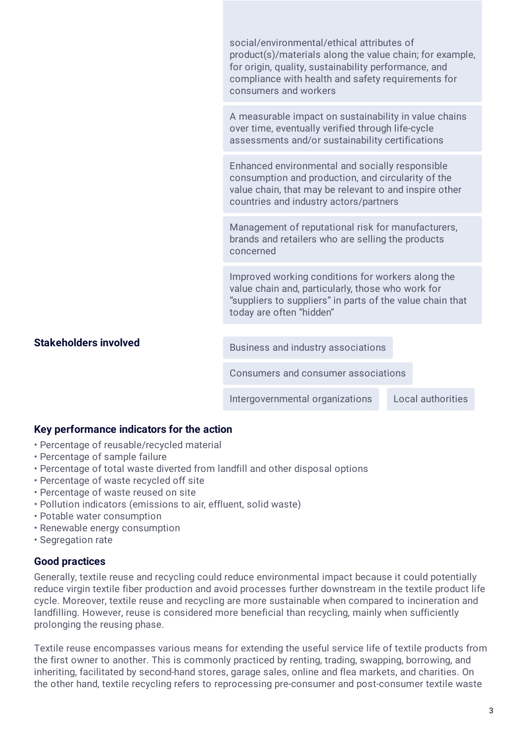|                              | social/environmental/ethical attributes of<br>product(s)/materials along the value chain; for example,<br>for origin, quality, sustainability performance, and<br>compliance with health and safety requirements for<br>consumers and workers |                   |
|------------------------------|-----------------------------------------------------------------------------------------------------------------------------------------------------------------------------------------------------------------------------------------------|-------------------|
|                              | A measurable impact on sustainability in value chains<br>over time, eventually verified through life-cycle<br>assessments and/or sustainability certifications                                                                                |                   |
|                              | Enhanced environmental and socially responsible<br>consumption and production, and circularity of the<br>value chain, that may be relevant to and inspire other<br>countries and industry actors/partners                                     |                   |
|                              | Management of reputational risk for manufacturers,<br>brands and retailers who are selling the products<br>concerned                                                                                                                          |                   |
|                              | Improved working conditions for workers along the<br>value chain and, particularly, those who work for<br>"suppliers to suppliers" in parts of the value chain that<br>today are often "hidden"                                               |                   |
| <b>Stakeholders involved</b> | Business and industry associations                                                                                                                                                                                                            |                   |
|                              | Consumers and consumer associations                                                                                                                                                                                                           |                   |
|                              | Intergovernmental organizations                                                                                                                                                                                                               | Local authorities |

### **Key performance indicators for the action**

- Percentage of reusable/recycled material
- Percentage of sample failure
- Percentage of total waste diverted from landfill and other disposal options
- Percentage of waste recycled off site
- Percentage of waste reused on site
- Pollution indicators (emissions to air, effluent, solid waste)
- Potable water consumption
- Renewable energy consumption
- Segregation rate

#### **Good practices**

Generally, textile reuse and recycling could reduce environmental impact because it could potentially reduce virgin textile fiber production and avoid processes further downstream in the textile product life cycle. Moreover, textile reuse and recycling are more sustainable when compared to incineration and landfilling. However, reuse is considered more beneficial than recycling, mainly when sufficiently prolonging the reusing phase.

Textile reuse encompasses various means for extending the useful service life of textile products from the first owner to another. This is commonly practiced by renting, trading, swapping, borrowing, and inheriting, facilitated by second-hand stores, garage sales, online and flea markets, and charities. On the other hand, textile recycling refers to reprocessing pre-consumer and post-consumer textile waste